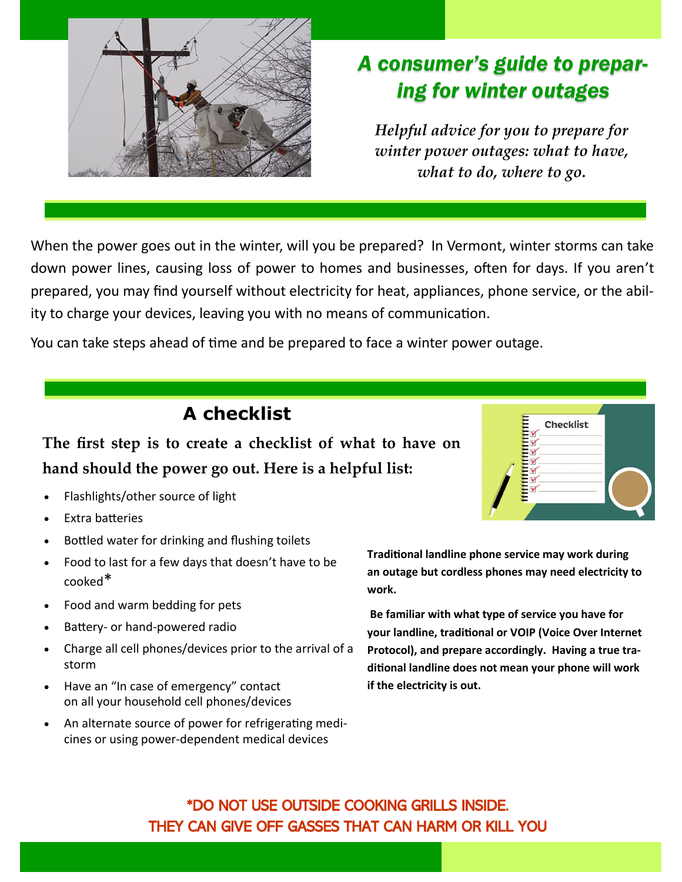

## *A consumer's guide to preparing for winter outages*

*Helpful advice for you to prepare for winter power outages: what to have, what to do, where to go.*

When the power goes out in the winter, will you be prepared? In Vermont, winter storms can take down power lines, causing loss of power to homes and businesses, often for days. If you aren't prepared, you may find yourself without electricity for heat, appliances, phone service, or the ability to charge your devices, leaving you with no means of communication.

You can take steps ahead of time and be prepared to face a winter power outage.

## **A checklist**

**The first step is to create a checklist of what to have on hand should the power go out. Here is a helpful list:** 

- Flashlights/other source of light
- Extra batteries
- Bottled water for drinking and flushing toilets
- Food to last for a few days that doesn't have to be cooked\*
- Food and warm bedding for pets
- Battery- or hand-powered radio
- Charge all cell phones/devices prior to the arrival of a storm
- Have an "In case of emergency" contact on all your household cell phones/devices
- An alternate source of power for refrigerating medicines or using power-dependent medical devices

**Traditional landline phone service may work during an outage but cordless phones may need electricity to** 

**Be familiar with what type of service you have for your landline, traditional or VOIP (Voice Over Internet Protocol), and prepare accordingly. Having a true traditional landline does not mean your phone will work if the electricity is out.** 

\*DO NOT USE OUTSIDE COOKING GRILLS INSIDE. THEY CAN GIVE OFF GASSES THAT CAN HARM OR KILL YOU

**work.**